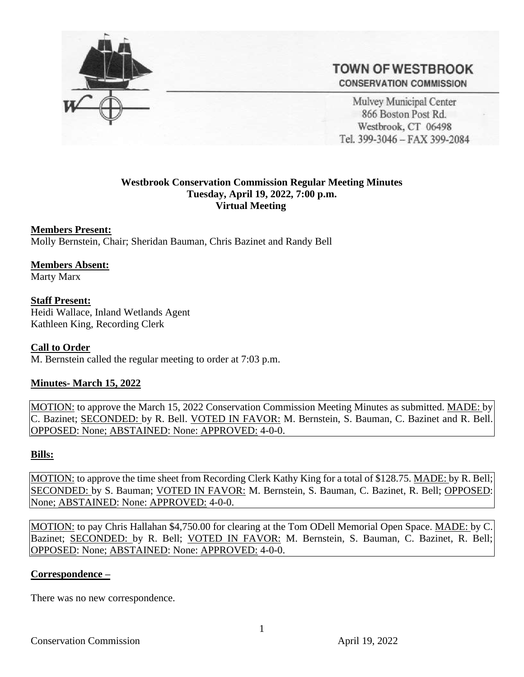

# **TOWN OF WESTBROOK CONSERVATION COMMISSION**

Mulvey Municipal Center 866 Boston Post Rd. Westbrook, CT 06498 Tel. 399-3046 - FAX 399-2084

# **Westbrook Conservation Commission Regular Meeting Minutes Tuesday, April 19, 2022, 7:00 p.m. Virtual Meeting**

#### **Members Present:**

Molly Bernstein, Chair; Sheridan Bauman, Chris Bazinet and Randy Bell

# **Members Absent:**

Marty Marx

# **Staff Present:**

Heidi Wallace, Inland Wetlands Agent Kathleen King, Recording Clerk

#### **Call to Order**

M. Bernstein called the regular meeting to order at 7:03 p.m.

#### **Minutes- March 15, 2022**

MOTION: to approve the March 15, 2022 Conservation Commission Meeting Minutes as submitted. MADE: by C. Bazinet; SECONDED: by R. Bell. VOTED IN FAVOR: M. Bernstein, S. Bauman, C. Bazinet and R. Bell. OPPOSED: None; ABSTAINED: None: APPROVED: 4-0-0.

#### **Bills:**

MOTION: to approve the time sheet from Recording Clerk Kathy King for a total of \$128.75. MADE: by R. Bell; SECONDED: by S. Bauman; VOTED IN FAVOR: M. Bernstein, S. Bauman, C. Bazinet, R. Bell; OPPOSED: None; ABSTAINED: None: APPROVED: 4-0-0.

MOTION: to pay Chris Hallahan \$4,750.00 for clearing at the Tom ODell Memorial Open Space. MADE: by C. Bazinet; SECONDED: by R. Bell; VOTED IN FAVOR: M. Bernstein, S. Bauman, C. Bazinet, R. Bell; OPPOSED: None; ABSTAINED: None: APPROVED: 4-0-0.

#### **Correspondence –**

There was no new correspondence.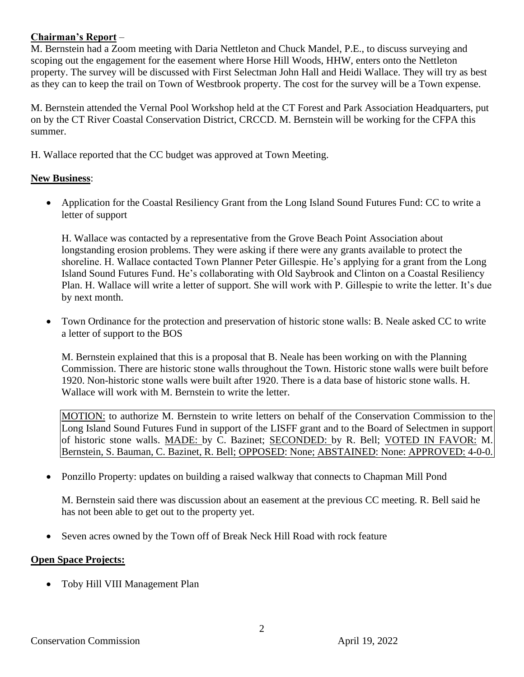# **Chairman's Report** –

M. Bernstein had a Zoom meeting with Daria Nettleton and Chuck Mandel, P.E., to discuss surveying and scoping out the engagement for the easement where Horse Hill Woods, HHW, enters onto the Nettleton property. The survey will be discussed with First Selectman John Hall and Heidi Wallace. They will try as best as they can to keep the trail on Town of Westbrook property. The cost for the survey will be a Town expense.

M. Bernstein attended the Vernal Pool Workshop held at the CT Forest and Park Association Headquarters, put on by the CT River Coastal Conservation District, CRCCD. M. Bernstein will be working for the CFPA this summer.

H. Wallace reported that the CC budget was approved at Town Meeting.

# **New Business**:

• Application for the Coastal Resiliency Grant from the Long Island Sound Futures Fund: CC to write a letter of support

H. Wallace was contacted by a representative from the Grove Beach Point Association about longstanding erosion problems. They were asking if there were any grants available to protect the shoreline. H. Wallace contacted Town Planner Peter Gillespie. He's applying for a grant from the Long Island Sound Futures Fund. He's collaborating with Old Saybrook and Clinton on a Coastal Resiliency Plan. H. Wallace will write a letter of support. She will work with P. Gillespie to write the letter. It's due by next month.

• Town Ordinance for the protection and preservation of historic stone walls: B. Neale asked CC to write a letter of support to the BOS

M. Bernstein explained that this is a proposal that B. Neale has been working on with the Planning Commission. There are historic stone walls throughout the Town. Historic stone walls were built before 1920. Non-historic stone walls were built after 1920. There is a data base of historic stone walls. H. Wallace will work with M. Bernstein to write the letter.

MOTION: to authorize M. Bernstein to write letters on behalf of the Conservation Commission to the Long Island Sound Futures Fund in support of the LISFF grant and to the Board of Selectmen in support of historic stone walls. MADE: by C. Bazinet; SECONDED: by R. Bell; VOTED IN FAVOR: M. Bernstein, S. Bauman, C. Bazinet, R. Bell; OPPOSED: None; ABSTAINED: None: APPROVED: 4-0-0.

• Ponzillo Property: updates on building a raised walkway that connects to Chapman Mill Pond

M. Bernstein said there was discussion about an easement at the previous CC meeting. R. Bell said he has not been able to get out to the property yet.

• Seven acres owned by the Town off of Break Neck Hill Road with rock feature

# **Open Space Projects:**

• Toby Hill VIII Management Plan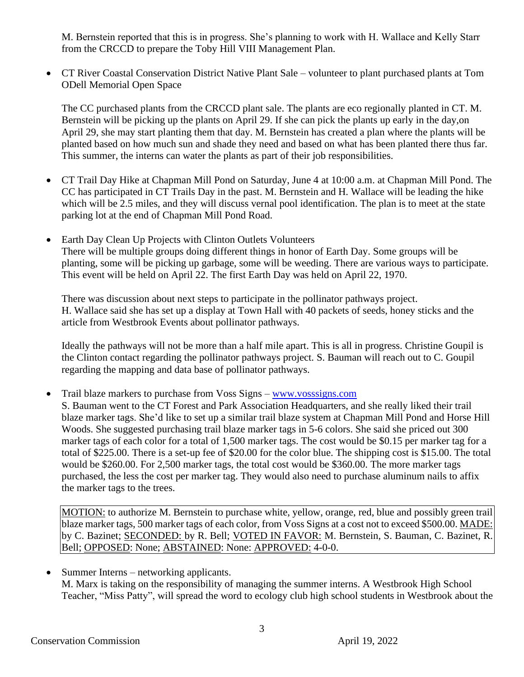M. Bernstein reported that this is in progress. She's planning to work with H. Wallace and Kelly Starr from the CRCCD to prepare the Toby Hill VIII Management Plan.

• CT River Coastal Conservation District Native Plant Sale – volunteer to plant purchased plants at Tom ODell Memorial Open Space

The CC purchased plants from the CRCCD plant sale. The plants are eco regionally planted in CT. M. Bernstein will be picking up the plants on April 29. If she can pick the plants up early in the day,on April 29, she may start planting them that day. M. Bernstein has created a plan where the plants will be planted based on how much sun and shade they need and based on what has been planted there thus far. This summer, the interns can water the plants as part of their job responsibilities.

- CT Trail Day Hike at Chapman Mill Pond on Saturday, June 4 at 10:00 a.m. at Chapman Mill Pond. The CC has participated in CT Trails Day in the past. M. Bernstein and H. Wallace will be leading the hike which will be 2.5 miles, and they will discuss vernal pool identification. The plan is to meet at the state parking lot at the end of Chapman Mill Pond Road.
- Earth Day Clean Up Projects with Clinton Outlets Volunteers There will be multiple groups doing different things in honor of Earth Day. Some groups will be planting, some will be picking up garbage, some will be weeding. There are various ways to participate. This event will be held on April 22. The first Earth Day was held on April 22, 1970.

There was discussion about next steps to participate in the pollinator pathways project. H. Wallace said she has set up a display at Town Hall with 40 packets of seeds, honey sticks and the article from Westbrook Events about pollinator pathways.

Ideally the pathways will not be more than a half mile apart. This is all in progress. Christine Goupil is the Clinton contact regarding the pollinator pathways project. S. Bauman will reach out to C. Goupil regarding the mapping and data base of pollinator pathways.

• Trail blaze markers to purchase from Voss Signs – [www.vosssigns.com](http://www.vosssigns.com/)

S. Bauman went to the CT Forest and Park Association Headquarters, and she really liked their trail blaze marker tags. She'd like to set up a similar trail blaze system at Chapman Mill Pond and Horse Hill Woods. She suggested purchasing trail blaze marker tags in 5-6 colors. She said she priced out 300 marker tags of each color for a total of 1,500 marker tags. The cost would be \$0.15 per marker tag for a total of \$225.00. There is a set-up fee of \$20.00 for the color blue. The shipping cost is \$15.00. The total would be \$260.00. For 2,500 marker tags, the total cost would be \$360.00. The more marker tags purchased, the less the cost per marker tag. They would also need to purchase aluminum nails to affix the marker tags to the trees.

MOTION: to authorize M. Bernstein to purchase white, yellow, orange, red, blue and possibly green trail blaze marker tags, 500 marker tags of each color, from Voss Signs at a cost not to exceed \$500.00. MADE: by C. Bazinet; SECONDED: by R. Bell; VOTED IN FAVOR: M. Bernstein, S. Bauman, C. Bazinet, R. Bell; **OPPOSED**: None; **ABSTAINED**: None: APPROVED: 4-0-0.

• Summer Interns – networking applicants. M. Marx is taking on the responsibility of managing the summer interns. A Westbrook High School Teacher, "Miss Patty", will spread the word to ecology club high school students in Westbrook about the